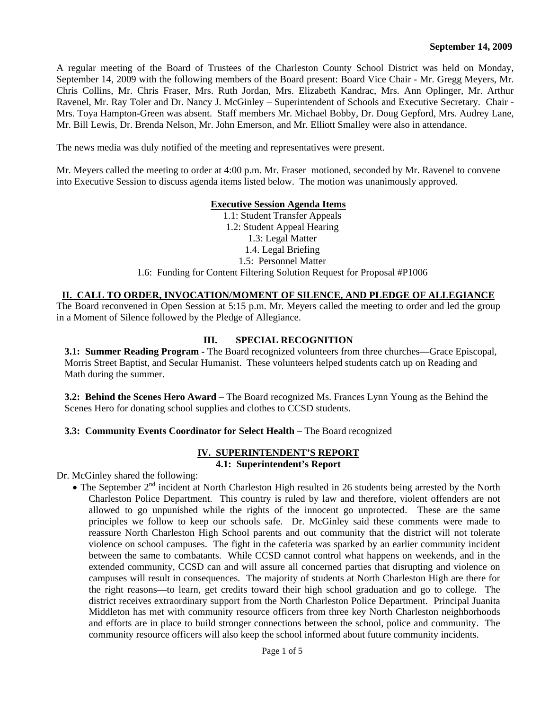A regular meeting of the Board of Trustees of the Charleston County School District was held on Monday, September 14, 2009 with the following members of the Board present: Board Vice Chair - Mr. Gregg Meyers, Mr. Chris Collins, Mr. Chris Fraser, Mrs. Ruth Jordan, Mrs. Elizabeth Kandrac, Mrs. Ann Oplinger, Mr. Arthur Ravenel, Mr. Ray Toler and Dr. Nancy J. McGinley – Superintendent of Schools and Executive Secretary. Chair - Mrs. Toya Hampton-Green was absent. Staff members Mr. Michael Bobby, Dr. Doug Gepford, Mrs. Audrey Lane, Mr. Bill Lewis, Dr. Brenda Nelson, Mr. John Emerson, and Mr. Elliott Smalley were also in attendance.

The news media was duly notified of the meeting and representatives were present.

Mr. Meyers called the meeting to order at 4:00 p.m. Mr. Fraser motioned, seconded by Mr. Ravenel to convene into Executive Session to discuss agenda items listed below. The motion was unanimously approved.

### **Executive Session Agenda Items**

1.1: Student Transfer Appeals 1.2: Student Appeal Hearing 1.3: Legal Matter 1.4. Legal Briefing 1.5: Personnel Matter 1.6: Funding for Content Filtering Solution Request for Proposal #P1006

### **II. CALL TO ORDER, INVOCATION/MOMENT OF SILENCE, AND PLEDGE OF ALLEGIANCE**

The Board reconvened in Open Session at 5:15 p.m. Mr. Meyers called the meeting to order and led the group in a Moment of Silence followed by the Pledge of Allegiance.

## **III. SPECIAL RECOGNITION**

**3.1: Summer Reading Program -** The Board recognized volunteers from three churches—Grace Episcopal, Morris Street Baptist, and Secular Humanist. These volunteers helped students catch up on Reading and Math during the summer.

**3.2: Behind the Scenes Hero Award –** The Board recognized Ms. Frances Lynn Young as the Behind the Scenes Hero for donating school supplies and clothes to CCSD students.

### **3.3: Community Events Coordinator for Select Health – The Board recognized**

#### **IV. SUPERINTENDENT'S REPORT 4.1: Superintendent's Report**

Dr. McGinley shared the following:

• The September  $2<sup>nd</sup>$  incident at North Charleston High resulted in 26 students being arrested by the North Charleston Police Department. This country is ruled by law and therefore, violent offenders are not allowed to go unpunished while the rights of the innocent go unprotected. These are the same principles we follow to keep our schools safe. Dr. McGinley said these comments were made to reassure North Charleston High School parents and out community that the district will not tolerate violence on school campuses. The fight in the cafeteria was sparked by an earlier community incident between the same to combatants. While CCSD cannot control what happens on weekends, and in the extended community, CCSD can and will assure all concerned parties that disrupting and violence on campuses will result in consequences. The majority of students at North Charleston High are there for the right reasons—to learn, get credits toward their high school graduation and go to college. The district receives extraordinary support from the North Charleston Police Department. Principal Juanita Middleton has met with community resource officers from three key North Charleston neighborhoods and efforts are in place to build stronger connections between the school, police and community. The community resource officers will also keep the school informed about future community incidents.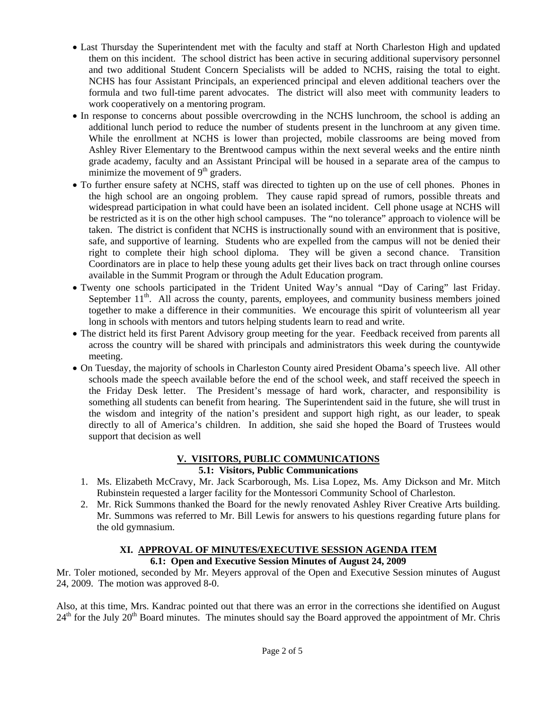- Last Thursday the Superintendent met with the faculty and staff at North Charleston High and updated them on this incident. The school district has been active in securing additional supervisory personnel and two additional Student Concern Specialists will be added to NCHS, raising the total to eight. NCHS has four Assistant Principals, an experienced principal and eleven additional teachers over the formula and two full-time parent advocates. The district will also meet with community leaders to work cooperatively on a mentoring program.
- In response to concerns about possible overcrowding in the NCHS lunchroom, the school is adding an additional lunch period to reduce the number of students present in the lunchroom at any given time. While the enrollment at NCHS is lower than projected, mobile classrooms are being moved from Ashley River Elementary to the Brentwood campus within the next several weeks and the entire ninth grade academy, faculty and an Assistant Principal will be housed in a separate area of the campus to minimize the movement of  $9<sup>th</sup>$  graders.
- To further ensure safety at NCHS, staff was directed to tighten up on the use of cell phones. Phones in the high school are an ongoing problem. They cause rapid spread of rumors, possible threats and widespread participation in what could have been an isolated incident. Cell phone usage at NCHS will be restricted as it is on the other high school campuses. The "no tolerance" approach to violence will be taken. The district is confident that NCHS is instructionally sound with an environment that is positive, safe, and supportive of learning. Students who are expelled from the campus will not be denied their right to complete their high school diploma. They will be given a second chance. Transition Coordinators are in place to help these young adults get their lives back on tract through online courses available in the Summit Program or through the Adult Education program.
- Twenty one schools participated in the Trident United Way's annual "Day of Caring" last Friday. September 11<sup>th</sup>. All across the county, parents, employees, and community business members joined together to make a difference in their communities. We encourage this spirit of volunteerism all year long in schools with mentors and tutors helping students learn to read and write.
- The district held its first Parent Advisory group meeting for the year. Feedback received from parents all across the country will be shared with principals and administrators this week during the countywide meeting.
- On Tuesday, the majority of schools in Charleston County aired President Obama's speech live. All other schools made the speech available before the end of the school week, and staff received the speech in the Friday Desk letter. The President's message of hard work, character, and responsibility is something all students can benefit from hearing. The Superintendent said in the future, she will trust in the wisdom and integrity of the nation's president and support high right, as our leader, to speak directly to all of America's children. In addition, she said she hoped the Board of Trustees would support that decision as well

#### **V. VISITORS, PUBLIC COMMUNICATIONS 5.1: Visitors, Public Communications**

- 1. Ms. Elizabeth McCravy, Mr. Jack Scarborough, Ms. Lisa Lopez, Ms. Amy Dickson and Mr. Mitch Rubinstein requested a larger facility for the Montessori Community School of Charleston.
- 2. Mr. Rick Summons thanked the Board for the newly renovated Ashley River Creative Arts building. Mr. Summons was referred to Mr. Bill Lewis for answers to his questions regarding future plans for the old gymnasium.

### **XI. APPROVAL OF MINUTES/EXECUTIVE SESSION AGENDA ITEM 6.1: Open and Executive Session Minutes of August 24, 2009**

Mr. Toler motioned, seconded by Mr. Meyers approval of the Open and Executive Session minutes of August 24, 2009. The motion was approved 8-0.

Also, at this time, Mrs. Kandrac pointed out that there was an error in the corrections she identified on August  $24<sup>th</sup>$  for the July  $20<sup>th</sup>$  Board minutes. The minutes should say the Board approved the appointment of Mr. Chris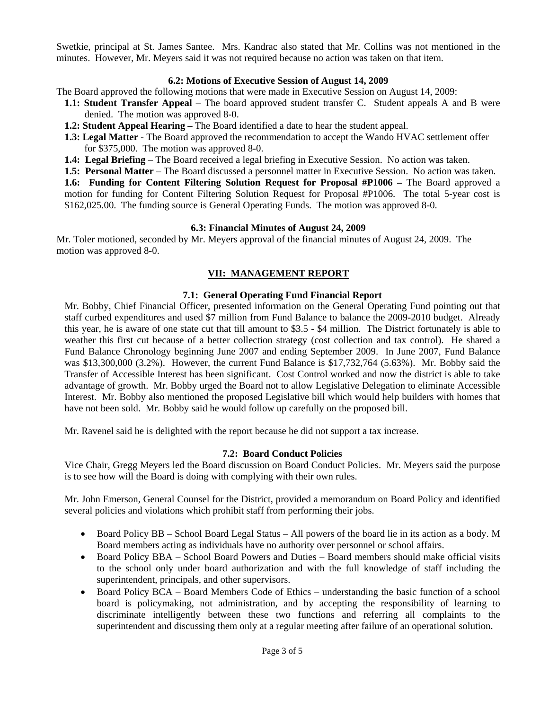Swetkie, principal at St. James Santee. Mrs. Kandrac also stated that Mr. Collins was not mentioned in the minutes. However, Mr. Meyers said it was not required because no action was taken on that item.

### **6.2: Motions of Executive Session of August 14, 2009**

The Board approved the following motions that were made in Executive Session on August 14, 2009:

- **1.1: Student Transfer Appeal**  The board approved student transfer C. Student appeals A and B were denied. The motion was approved 8-0.
- **1.2: Student Appeal Hearing The Board identified a date to hear the student appeal.**
- **1.3: Legal Matter** The Board approved the recommendation to accept the Wando HVAC settlement offer for \$375,000. The motion was approved 8-0.
- **1.4: Legal Briefing**  The Board received a legal briefing in Executive Session. No action was taken.
- **1.5: Personal Matter** The Board discussed a personnel matter in Executive Session. No action was taken.

**1.6: Funding for Content Filtering Solution Request for Proposal #P1006 – The Board approved a** motion for funding for Content Filtering Solution Request for Proposal #P1006. The total 5-year cost is \$162,025.00. The funding source is General Operating Funds. The motion was approved 8-0.

### **6.3: Financial Minutes of August 24, 2009**

Mr. Toler motioned, seconded by Mr. Meyers approval of the financial minutes of August 24, 2009. The motion was approved 8-0.

## **VII: MANAGEMENT REPORT**

### **7.1: General Operating Fund Financial Report**

Mr. Bobby, Chief Financial Officer, presented information on the General Operating Fund pointing out that staff curbed expenditures and used \$7 million from Fund Balance to balance the 2009-2010 budget. Already this year, he is aware of one state cut that till amount to \$3.5 - \$4 million. The District fortunately is able to weather this first cut because of a better collection strategy (cost collection and tax control). He shared a Fund Balance Chronology beginning June 2007 and ending September 2009. In June 2007, Fund Balance was \$13,300,000 (3.2%). However, the current Fund Balance is \$17,732,764 (5.63%). Mr. Bobby said the Transfer of Accessible Interest has been significant. Cost Control worked and now the district is able to take advantage of growth. Mr. Bobby urged the Board not to allow Legislative Delegation to eliminate Accessible Interest. Mr. Bobby also mentioned the proposed Legislative bill which would help builders with homes that have not been sold. Mr. Bobby said he would follow up carefully on the proposed bill.

Mr. Ravenel said he is delighted with the report because he did not support a tax increase.

### **7.2: Board Conduct Policies**

Vice Chair, Gregg Meyers led the Board discussion on Board Conduct Policies. Mr. Meyers said the purpose is to see how will the Board is doing with complying with their own rules.

Mr. John Emerson, General Counsel for the District, provided a memorandum on Board Policy and identified several policies and violations which prohibit staff from performing their jobs.

- Board Policy BB School Board Legal Status All powers of the board lie in its action as a body. M Board members acting as individuals have no authority over personnel or school affairs.
- Board Policy BBA School Board Powers and Duties Board members should make official visits to the school only under board authorization and with the full knowledge of staff including the superintendent, principals, and other supervisors.
- Board Policy BCA Board Members Code of Ethics understanding the basic function of a school board is policymaking, not administration, and by accepting the responsibility of learning to discriminate intelligently between these two functions and referring all complaints to the superintendent and discussing them only at a regular meeting after failure of an operational solution.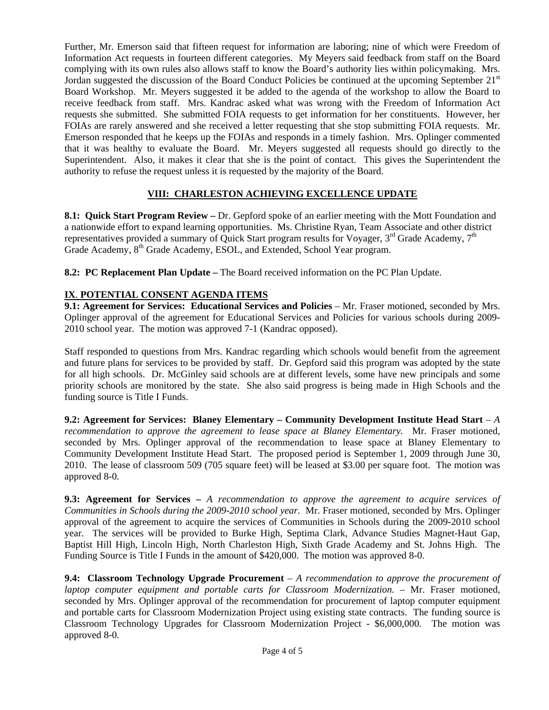Further, Mr. Emerson said that fifteen request for information are laboring; nine of which were Freedom of Information Act requests in fourteen different categories. My Meyers said feedback from staff on the Board complying with its own rules also allows staff to know the Board's authority lies within policymaking. Mrs. Jordan suggested the discussion of the Board Conduct Policies be continued at the upcoming September  $21<sup>st</sup>$ Board Workshop. Mr. Meyers suggested it be added to the agenda of the workshop to allow the Board to receive feedback from staff. Mrs. Kandrac asked what was wrong with the Freedom of Information Act requests she submitted. She submitted FOIA requests to get information for her constituents. However, her FOIAs are rarely answered and she received a letter requesting that she stop submitting FOIA requests. Mr. Emerson responded that he keeps up the FOIAs and responds in a timely fashion. Mrs. Oplinger commented that it was healthy to evaluate the Board. Mr. Meyers suggested all requests should go directly to the Superintendent. Also, it makes it clear that she is the point of contact. This gives the Superintendent the authority to refuse the request unless it is requested by the majority of the Board.

## **VIII: CHARLESTON ACHIEVING EXCELLENCE UPDATE**

**8.1: Quick Start Program Review –** Dr. Gepford spoke of an earlier meeting with the Mott Foundation and a nationwide effort to expand learning opportunities. Ms. Christine Ryan, Team Associate and other district representatives provided a summary of Quick Start program results for Voyager,  $3<sup>rd</sup>$  Grade Academy,  $7<sup>th</sup>$ Grade Academy, 8<sup>th</sup> Grade Academy, ESOL, and Extended, School Year program.

**8.2: PC Replacement Plan Update –** The Board received information on the PC Plan Update.

# **IX**. **POTENTIAL CONSENT AGENDA ITEMS**

**9.1: Agreement for Services: Educational Services and Policies** – Mr. Fraser motioned, seconded by Mrs. Oplinger approval of the agreement for Educational Services and Policies for various schools during 2009- 2010 school year. The motion was approved 7-1 (Kandrac opposed).

Staff responded to questions from Mrs. Kandrac regarding which schools would benefit from the agreement and future plans for services to be provided by staff. Dr. Gepford said this program was adopted by the state for all high schools. Dr. McGinley said schools are at different levels, some have new principals and some priority schools are monitored by the state. She also said progress is being made in High Schools and the funding source is Title I Funds.

**9.2: Agreement for Services: Blaney Elementary – Community Development Institute Head Start – A** *recommendation to approve the agreement to lease space at Blaney Elementary.* Mr. Fraser motioned, seconded by Mrs. Oplinger approval of the recommendation to lease space at Blaney Elementary to Community Development Institute Head Start. The proposed period is September 1, 2009 through June 30, 2010. The lease of classroom 509 (705 square feet) will be leased at \$3.00 per square foot. The motion was approved 8-0.

**9.3: Agreement for Services –** *A recommendation to approve the agreement to acquire services of Communities in Schools during the 2009-2010 school year.* Mr. Fraser motioned, seconded by Mrs. Oplinger approval of the agreement to acquire the services of Communities in Schools during the 2009-2010 school year. The services will be provided to Burke High, Septima Clark, Advance Studies Magnet-Haut Gap, Baptist Hill High, Lincoln High, North Charleston High, Sixth Grade Academy and St. Johns High. The Funding Source is Title I Funds in the amount of \$420,000. The motion was approved 8-0.

**9.4: Classroom Technology Upgrade Procurement** – *A recommendation to approve the procurement of laptop computer equipment and portable carts for Classroom Modernization.* – Mr. Fraser motioned, seconded by Mrs. Oplinger approval of the recommendation for procurement of laptop computer equipment and portable carts for Classroom Modernization Project using existing state contracts. The funding source is Classroom Technology Upgrades for Classroom Modernization Project - \$6,000,000. The motion was approved 8-0.